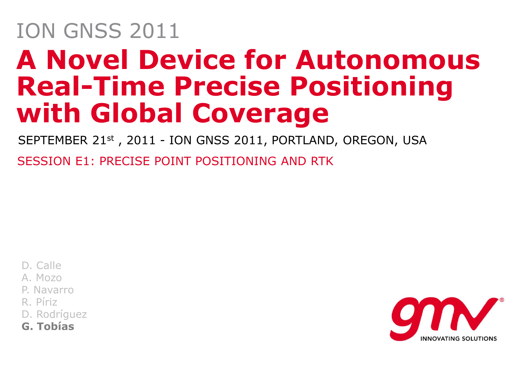## **A Novel Device for Autonomous Real-Time Precise Positioning with Global Coverage** ION GNSS 2011

SEPTEMBER 21st, 2011 - ION GNSS 2011, PORTLAND, OREGON, USA

SESSION E1: PRECISE POINT POSITIONING AND RTK

D. Calle

A. Mozo

P. Navarro

R. Píriz

D. Rodríguez

**G. Tobías**

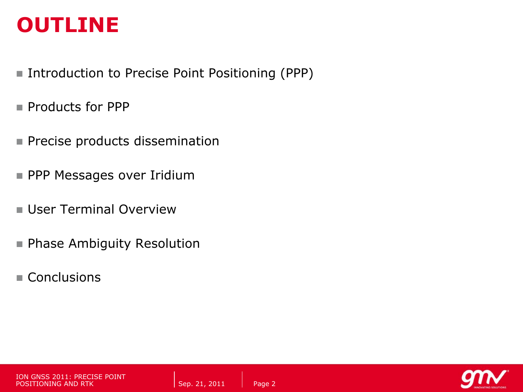#### **OUTLINE**

- Introduction to Precise Point Positioning (PPP)
- **Products for PPP**
- **Precise products dissemination**
- PPP Messages over Iridium
- **User Terminal Overview**
- **Phase Ambiguity Resolution**
- Conclusions



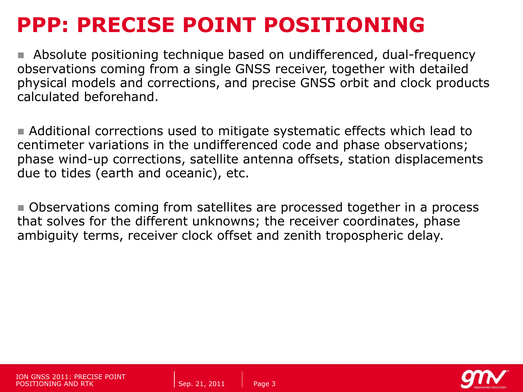#### **PPP: PRECISE POINT POSITIONING**

 Absolute positioning technique based on undifferenced, dual-frequency observations coming from a single GNSS receiver, together with detailed physical models and corrections, and precise GNSS orbit and clock products calculated beforehand.

 Additional corrections used to mitigate systematic effects which lead to centimeter variations in the undifferenced code and phase observations; phase wind-up corrections, satellite antenna offsets, station displacements due to tides (earth and oceanic), etc.

Observations coming from satellites are processed together in a process that solves for the different unknowns; the receiver coordinates, phase ambiguity terms, receiver clock offset and zenith tropospheric delay.

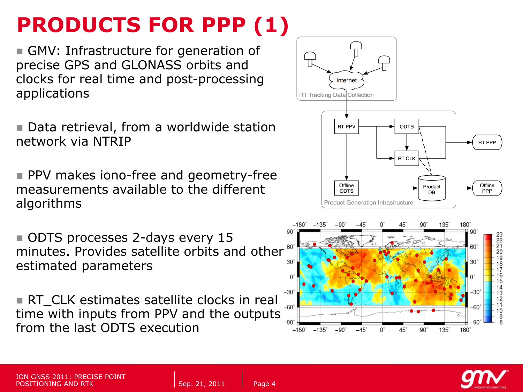### **PRODUCTS FOR PPP (1)**

GMV: Infrastructure for generation of precise GPS and GLONASS orbits and clocks for real time and post-processing applications

■ Data retrieval, from a worldwide station network via NTRIP

**PPV** makes iono-free and geometry-free measurements available to the different algorithms

ODTS processes 2-days every 15 minutes. Provides satellite orbits and other  $\frac{60}{30}$ estimated parameters

RT CLK estimates satellite clocks in real time with inputs from PPV and the outputs  $\frac{1}{2}$ from the last ODTS execution



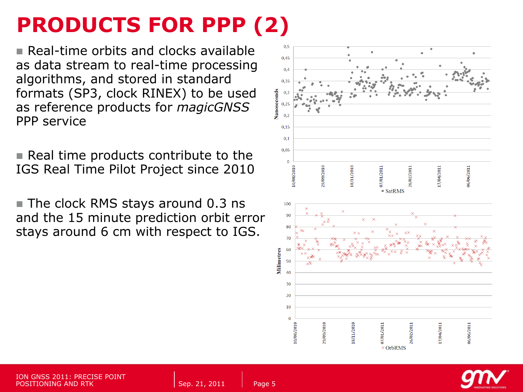### **PRODUCTS FOR PPP (2)**

**Real-time orbits and clocks available** as data stream to real-time processing algorithms, and stored in standard formats (SP3, clock RINEX) to be used as reference products for *magicGNSS* PPP service

 $\blacksquare$  Real time products contribute to the IGS Real Time Pilot Project since 2010

■ The clock RMS stays around 0.3 ns and the 15 minute prediction orbit error stays around 6 cm with respect to IGS.





**ISE POINT** POSITIONING AND RTK Sep. 21, 2011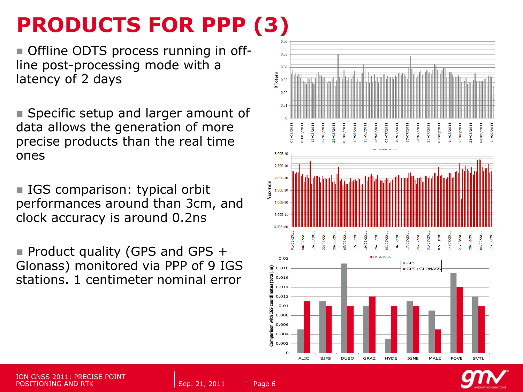#### **PRODUCTS FOR PPP (3)**

 Offline ODTS process running in offline post-processing mode with a latency of 2 days

■ Specific setup and larger amount of data allows the generation of more precise products than the real time ones

■ IGS comparison: typical orbit performances around than 3cm, and clock accuracy is around 0.2ns

Product quality (GPS and GPS  $+$ Glonass) monitored via PPP of 9 IGS stations. 1 centimeter nominal error



**Station**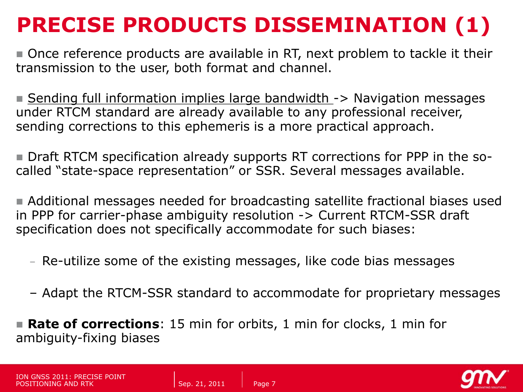### **PRECISE PRODUCTS DISSEMINATION (1)**

 Once reference products are available in RT, next problem to tackle it their transmission to the user, both format and channel.

■ Sending full information implies large bandwidth -> Navigation messages under RTCM standard are already available to any professional receiver, sending corrections to this ephemeris is a more practical approach.

 Draft RTCM specification already supports RT corrections for PPP in the socalled "state-space representation" or SSR. Several messages available.

 Additional messages needed for broadcasting satellite fractional biases used in PPP for carrier-phase ambiguity resolution -> Current RTCM-SSR draft specification does not specifically accommodate for such biases:

- Re-utilize some of the existing messages, like code bias messages
- Adapt the RTCM-SSR standard to accommodate for proprietary messages

 **Rate of corrections**: 15 min for orbits, 1 min for clocks, 1 min for ambiguity-fixing biases



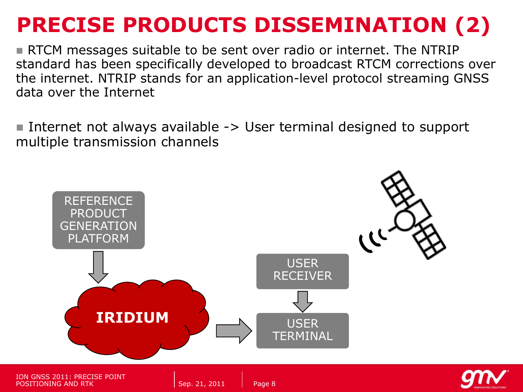#### **PRECISE PRODUCTS DISSEMINATION (2)**

RTCM messages suitable to be sent over radio or internet. The NTRIP standard has been specifically developed to broadcast RTCM corrections over the internet. NTRIP stands for an application-level protocol streaming GNSS data over the Internet

Internet not always available  $\rightarrow$  User terminal designed to support multiple transmission channels

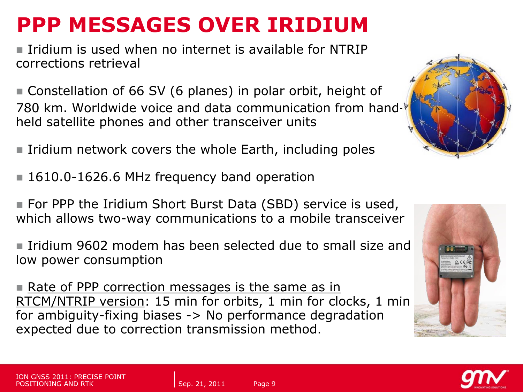#### **PPP MESSAGES OVER IRIDIUM**

Iridium is used when no internet is available for NTRIP corrections retrieval

 Constellation of 66 SV (6 planes) in polar orbit, height of 780 km. Worldwide voice and data communication from handheld satellite phones and other transceiver units

 $\blacksquare$  Iridium network covers the whole Earth, including poles

- 1610.0-1626.6 MHz frequency band operation
- For PPP the Iridium Short Burst Data (SBD) service is used, which allows two-way communications to a mobile transceiver

**Indium 9602 modem has been selected due to small size and** low power consumption

**Rate of PPP correction messages is the same as in** RTCM/NTRIP version: 15 min for orbits, 1 min for clocks, 1 min for ambiguity-fixing biases -> No performance degradation expected due to correction transmission method.





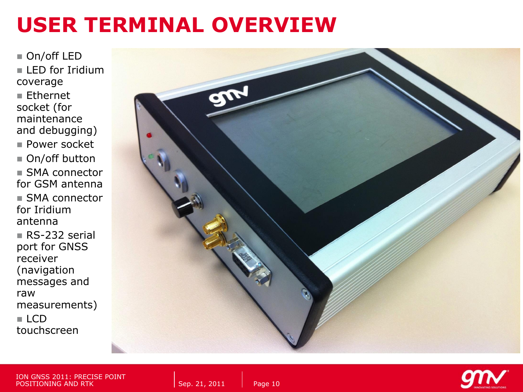#### **USER TERMINAL OVERVIEW**

■ On/off LED  $\blacksquare$  LED for Iridium coverage Ethernet

socket (for maintenance and debugging)

■ Power socket

■ On/off button **SMA** connector for GSM antenna ■ SMA connector for Iridium antenna

■ RS-232 serial port for GNSS receiver (navigation messages and raw measurements)  $\blacksquare$  LCD touchscreen



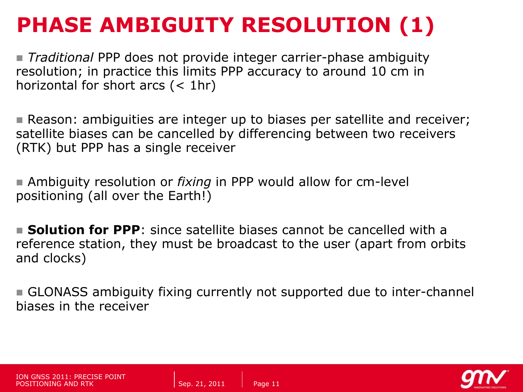#### **PHASE AMBIGUITY RESOLUTION (1)**

 *Traditional* PPP does not provide integer carrier-phase ambiguity resolution; in practice this limits PPP accuracy to around 10 cm in horizontal for short arcs  $(< 1hr)$ 

**Reason: ambiguities are integer up to biases per satellite and receiver;** satellite biases can be cancelled by differencing between two receivers (RTK) but PPP has a single receiver

 Ambiguity resolution or *fixing* in PPP would allow for cm-level positioning (all over the Earth!)

**Solution for PPP**: since satellite biases cannot be cancelled with a reference station, they must be broadcast to the user (apart from orbits and clocks)

 GLONASS ambiguity fixing currently not supported due to inter-channel biases in the receiver

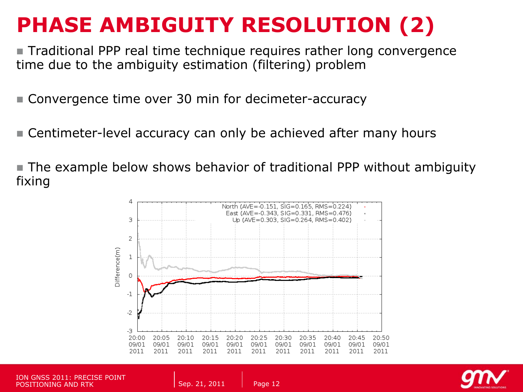#### **PHASE AMBIGUITY RESOLUTION (2)**

■ Traditional PPP real time technique requires rather long convergence time due to the ambiguity estimation (filtering) problem

■ Convergence time over 30 min for decimeter-accuracy

■ Centimeter-level accuracy can only be achieved after many hours

 The example below shows behavior of traditional PPP without ambiguity fixing



ION GNSS 2011: PRECISE POINT POSITIONING AND RTK Sep. 21, 2011

```
Page 12
```
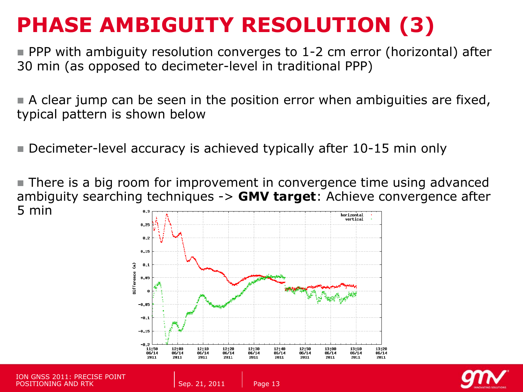### **PHASE AMBIGUITY RESOLUTION (3)**

■ PPP with ambiguity resolution converges to 1-2 cm error (horizontal) after 30 min (as opposed to decimeter-level in traditional PPP)

A clear jump can be seen in the position error when ambiguities are fixed, typical pattern is shown below

■ Decimeter-level accuracy is achieved typically after 10-15 min only

 There is a big room for improvement in convergence time using advanced ambiguity searching techniques -> **GMV target**: Achieve convergence after 5 minhorizontal



ION GNSS 2011: PRECISE POINT POSITIONING AND RTK NEWSTAPH Sep. 21, 2011

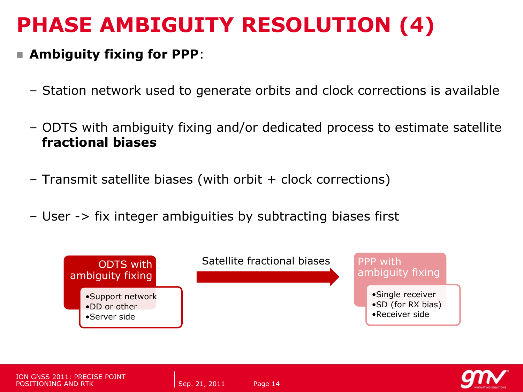#### **PHASE AMBIGUITY RESOLUTION (4)**

#### **Ambiguity fixing for PPP**:

- Station network used to generate orbits and clock corrections is available
- ODTS with ambiguity fixing and/or dedicated process to estimate satellite **fractional biases**
- Transmit satellite biases (with orbit + clock corrections)
- User -> fix integer ambiguities by subtracting biases first





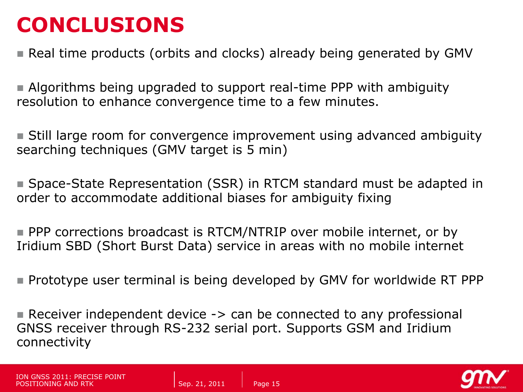#### **CONCLUSIONS**

**Real time products (orbits and clocks) already being generated by GMV** 

 Algorithms being upgraded to support real-time PPP with ambiguity resolution to enhance convergence time to a few minutes.

 Still large room for convergence improvement using advanced ambiguity searching techniques (GMV target is 5 min)

■ Space-State Representation (SSR) in RTCM standard must be adapted in order to accommodate additional biases for ambiguity fixing

**PPP** corrections broadcast is RTCM/NTRIP over mobile internet, or by Iridium SBD (Short Burst Data) service in areas with no mobile internet

**Prototype user terminal is being developed by GMV for worldwide RT PPP** 

Receiver independent device -> can be connected to any professional GNSS receiver through RS-232 serial port. Supports GSM and Iridium connectivity